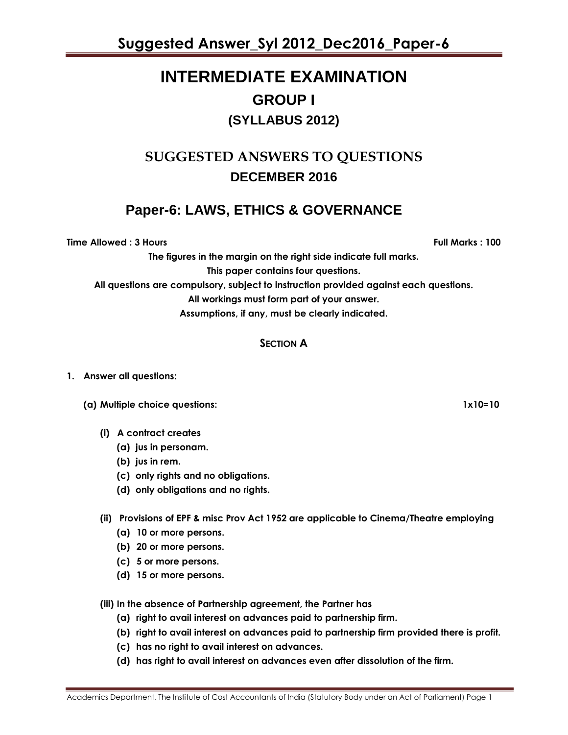# **INTERMEDIATE EXAMINATION GROUP I (SYLLABUS 2012)**

### **SUGGESTED ANSWERS TO QUESTIONS DECEMBER 2016**

### **Paper-6: LAWS, ETHICS & GOVERNANCE**

**Time Allowed : 3 Hours Full Marks : 100**

**The figures in the margin on the right side indicate full marks. This paper contains four questions. All questions are compulsory, subject to instruction provided against each questions. All workings must form part of your answer. Assumptions, if any, must be clearly indicated.**

#### **SECTION A**

#### **1. Answer all questions:**

- **(a) Multiple choice questions: 1x10=10**
	- **(i) A contract creates**
		- **(a) jus in personam.**
		- **(b) jus in rem.**
		- **(c) only rights and no obligations.**
		- **(d) only obligations and no rights.**
	- **(ii) Provisions of EPF & misc Prov Act 1952 are applicable to Cinema/Theatre employing**
		- **(a) 10 or more persons.**
		- **(b) 20 or more persons.**
		- **(c) 5 or more persons.**
		- **(d) 15 or more persons.**
	- **(iii) In the absence of Partnership agreement, the Partner has**
		- **(a) right to avail interest on advances paid to partnership firm.**
		- **(b) right to avail interest on advances paid to partnership firm provided there is profit.**
		- **(c) has no right to avail interest on advances.**
		- **(d) has right to avail interest on advances even after dissolution of the firm.**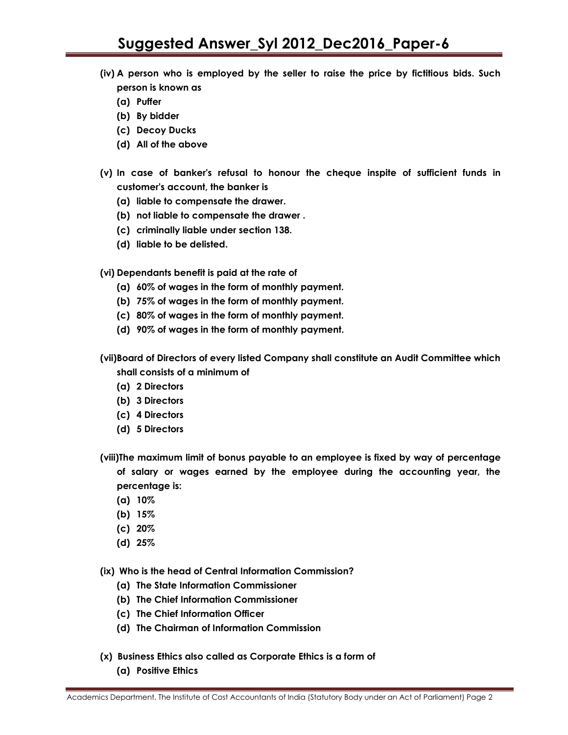- **(iv) A person who is employed by the seller to raise the price by fictitious bids. Such person is known as**
	- **(a) Puffer**
	- **(b) By bidder**
	- **(c) Decoy Ducks**
	- **(d) All of the above**
- **(v) In case of banker's refusal to honour the cheque inspite of sufficient funds in customer's account, the banker is**
	- **(a) liable to compensate the drawer.**
	- **(b) not liable to compensate the drawer .**
	- **(c) criminally liable under section 138.**
	- **(d) liable to be delisted.**

**(vi) Dependants benefit is paid at the rate of**

- **(a) 60% of wages in the form of monthly payment.**
- **(b) 75% of wages in the form of monthly payment.**
- **(c) 80% of wages in the form of monthly payment.**
- **(d) 90% of wages in the form of monthly payment.**

**(vii)Board of Directors of every listed Company shall constitute an Audit Committee which shall consists of a minimum of**

- **(a) 2 Directors**
- **(b) 3 Directors**
- **(c) 4 Directors**
- **(d) 5 Directors**
- **(viii)The maximum limit of bonus payable to an employee is fixed by way of percentage of salary or wages earned by the employee during the accounting year, the percentage is:**
	- **(a) 10%**
	- **(b) 15%**
	- **(c) 20%**
	- **(d) 25%**
- **(ix) Who is the head of Central Information Commission?**
	- **(a) The State Information Commissioner**
	- **(b) The Chief Information Commissioner**
	- **(c) The Chief Information Officer**
	- **(d) The Chairman of Information Commission**
- **(x) Business Ethics also called as Corporate Ethics is a form of**
	- **(a) Positive Ethics**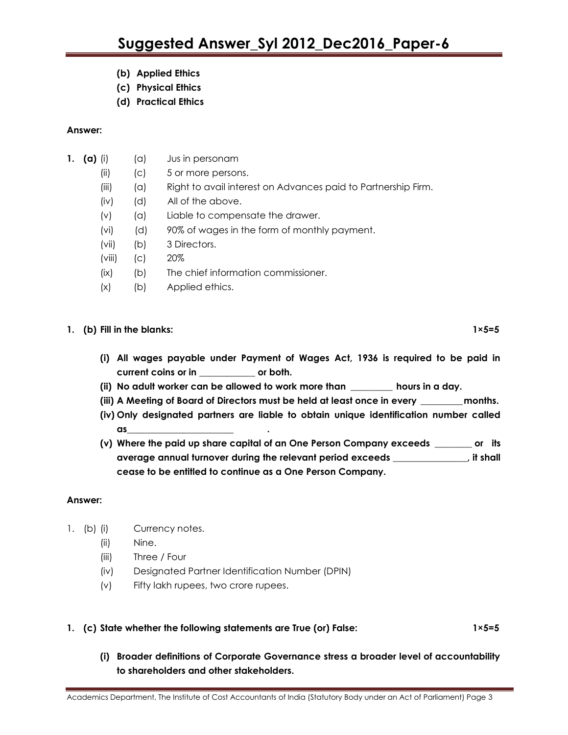- **(b) Applied Ethics**
- **(c) Physical Ethics**
- **(d) Practical Ethics**

#### **Answer:**

- **1.** (a) (i)  $(a)$  Jus in personam
	- (ii) (c) 5 or more persons.
	- (iii) (a) Right to avail interest on Advances paid to Partnership Firm.
	- (iv) (d) All of the above.
	- (v) (a) Liable to compensate the drawer.
	- (vi) (d) 90% of wages in the form of monthly payment.
	- (vii) (b) 3 Directors.
	- (viii) (c) 20%
	- (ix) (b) The chief information commissioner.
	- (x) (b) Applied ethics.

#### **1.** (b) Fill in the blanks: 1×5=5

- **(i) All wages payable under Payment of Wages Act, 1936 is required to be paid in current coins or in \_\_\_\_\_\_\_\_\_\_\_\_ or both.**
- **(ii) No adult worker can be allowed to work more than \_\_\_\_\_\_\_\_\_ hours in a day.**
- **(iii) A Meeting of Board of Directors must be held at least once in every \_\_\_\_\_\_\_\_\_months.**
- **(iv) Only designated partners are liable to obtain unique identification number called as\_\_\_\_\_\_\_\_\_\_\_\_\_\_\_\_\_\_\_\_\_\_\_ .**
- **(v) Where the paid up share capital of an One Person Company exceeds \_\_\_\_\_\_\_\_ or its average annual turnover during the relevant period exceeds \_\_\_\_\_\_\_\_\_\_\_\_\_\_\_\_, it shall cease to be entitled to continue as a One Person Company.**

#### **Answer:**

- 1. (b) (i) Currency notes.
	- (ii) Nine.
	- (iii) Three / Four
	- (iv) Designated Partner Identification Number (DPIN)
	- (v) Fifty lakh rupees, two crore rupees.

#### **1. (c) State whether the following statements are True (or) False: 1×5=5**

**(i) Broader definitions of Corporate Governance stress a broader level of accountability to shareholders and other stakeholders.**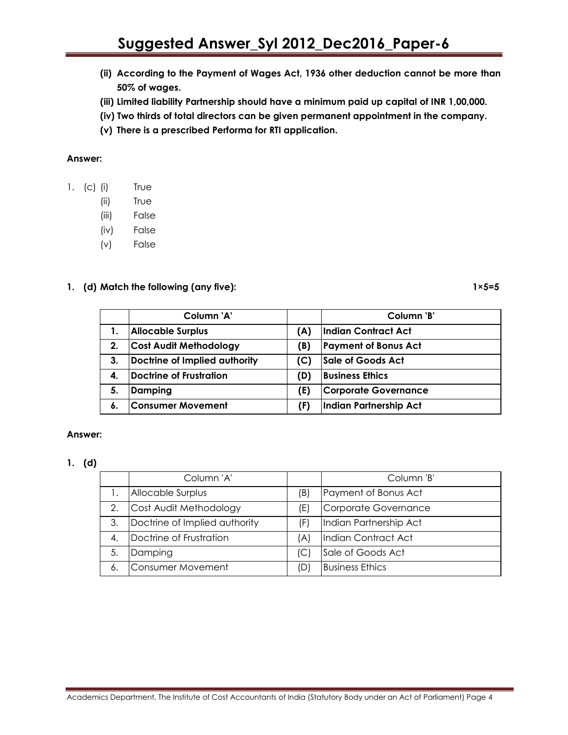- **(ii) According to the Payment of Wages Act, 1936 other deduction cannot be more than 50% of wages.**
- **(iii) Limited liability Partnership should have a minimum paid up capital of INR 1,00,000.**
- **(iv) Two thirds of total directors can be given permanent appointment in the company.**
- **(v) There is a prescribed Performa for RTI application.**

#### **Answer:**

- 1. (c) (i) True
	- (ii) True
	- (iii) False
	- (iv) False
	- (v) False

#### 1. (d) Match the following (any five): 1 and 1×5=5

|    | Column 'A'                     |     | Column 'B'                  |
|----|--------------------------------|-----|-----------------------------|
|    | <b>Allocable Surplus</b>       | (A) | <b>Indian Contract Act</b>  |
| 2. | <b>Cost Audit Methodology</b>  | (B) | <b>Payment of Bonus Act</b> |
| 3. | Doctrine of Implied authority  | (C) | Sale of Goods Act           |
| 4. | <b>Doctrine of Frustration</b> | (D) | <b>Business Ethics</b>      |
| 5. | Damping                        | (E) | <b>Corporate Governance</b> |
| 6. | <b>Consumer Movement</b>       | (F) | Indian Partnership Act      |

#### **Answer:**

#### **1. (d)**

|    | Column 'A'                    |     | Column 'B'             |
|----|-------------------------------|-----|------------------------|
|    | Allocable Surplus             | (B) | Payment of Bonus Act   |
| 2. | Cost Audit Methodology        | (E) | Corporate Governance   |
| 3. | Doctrine of Implied authority | (F) | Indian Partnership Act |
| 4. | Doctrine of Frustration       | A)  | Indian Contract Act    |
| 5. | Damping                       | (C) | Sale of Goods Act      |
| 6. | Consumer Movement             | (D) | <b>Business Ethics</b> |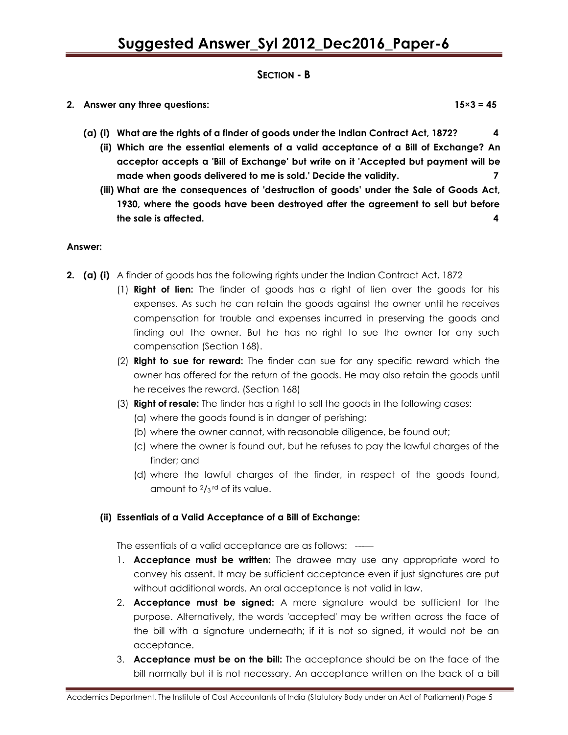#### **SECTION - B**

**2. Answer any three questions: 15×3 = 45**

- **(a) (i) What are the rights of a finder of goods under the Indian Contract Act, 1872? 4**
	- **(ii) Which are the essential elements of a valid acceptance of a Bill of Exchange? An acceptor accepts a 'Bill of Exchange' but write on it 'Accepted but payment will be made when goods delivered to me is sold.' Decide the validity. 7**
	- **(iii) What are the consequences of 'destruction of goods' under the Sale of Goods Act, 1930, where the goods have been destroyed after the agreement to sell but before the sale is affected. 4**

#### **Answer:**

- **2. (a) (i)** A finder of goods has the following rights under the Indian Contract Act, 1872
	- (1) **Right of lien:** The finder of goods has a right of lien over the goods for his expenses. As such he can retain the goods against the owner until he receives compensation for trouble and expenses incurred in preserving the goods and finding out the owner. But he has no right to sue the owner for any such compensation (Section 168).
	- (2) **Right to sue for reward:** The finder can sue for any specific reward which the owner has offered for the return of the goods. He may also retain the goods until he receives the reward. (Section 168)
	- (3) **Right of resale:** The finder has a right to sell the goods in the following cases:
		- (a) where the goods found is in danger of perishing;
		- (b) where the owner cannot, with reasonable diligence, be found out;
		- (c) where the owner is found out, but he refuses to pay the lawful charges of the finder; and
		- (d) where the lawful charges of the finder, in respect of the goods found, amount to  $\frac{2}{3}$ <sup>rd</sup> of its value.

#### **(ii) Essentials of a Valid Acceptance of a Bill of Exchange:**

The essentials of a valid acceptance are as follows: ---—

- 1. **Acceptance must be written:** The drawee may use any appropriate word to convey his assent. It may be sufficient acceptance even if just signatures are put without additional words. An oral acceptance is not valid in law.
- 2. **Acceptance must be signed:** A mere signature would be sufficient for the purpose. Alternatively, the words 'accepted' may be written across the face of the bill with a signature underneath; if it is not so signed, it would not be an acceptance.
- 3. **Acceptance must be on the bill:** The acceptance should be on the face of the bill normally but it is not necessary. An acceptance written on the back of a bill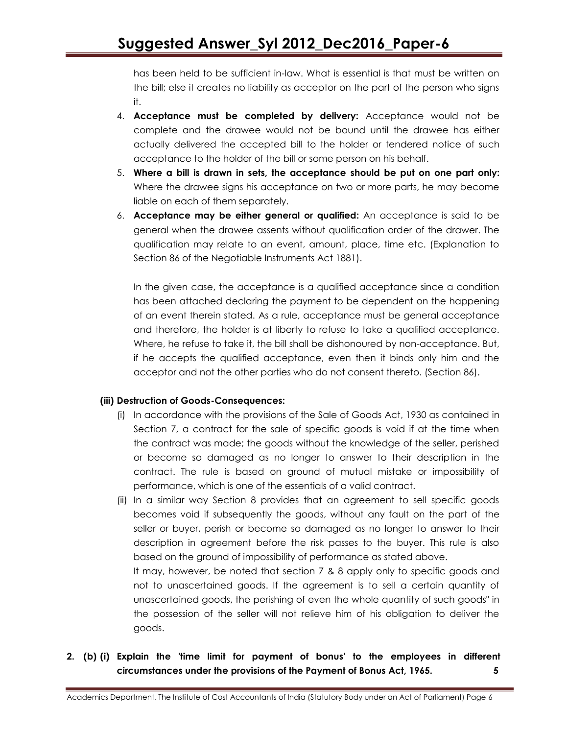has been held to be sufficient in-law. What is essential is that must be written on the bill; else it creates no liability as acceptor on the part of the person who signs it.

- 4. **Acceptance must be completed by delivery:** Acceptance would not be complete and the drawee would not be bound until the drawee has either actually delivered the accepted bill to the holder or tendered notice of such acceptance to the holder of the bill or some person on his behalf.
- 5. **Where a bill is drawn in sets, the acceptance should be put on one part only:** Where the drawee signs his acceptance on two or more parts, he may become liable on each of them separately.
- 6. **Acceptance may be either general or qualified:** An acceptance is said to be general when the drawee assents without qualification order of the drawer. The qualification may relate to an event, amount, place, time etc. (Explanation to Section 86 of the Negotiable Instruments Act 1881).

In the given case, the acceptance is a qualified acceptance since a condition has been attached declaring the payment to be dependent on the happening of an event therein stated. As a rule, acceptance must be general acceptance and therefore, the holder is at liberty to refuse to take a qualified acceptance. Where, he refuse to take it, the bill shall be dishonoured by non-acceptance. But, if he accepts the qualified acceptance, even then it binds only him and the acceptor and not the other parties who do not consent thereto. (Section 86).

#### **(iii) Destruction of Goods-Consequences:**

- (i) In accordance with the provisions of the Sale of Goods Act, 1930 as contained in Section 7, a contract for the sale of specific goods is void if at the time when the contract was made; the goods without the knowledge of the seller, perished or become so damaged as no longer to answer to their description in the contract. The rule is based on ground of mutual mistake or impossibility of performance, which is one of the essentials of a valid contract.
- (ii) In a similar way Section 8 provides that an agreement to sell specific goods becomes void if subsequently the goods, without any fault on the part of the seller or buyer, perish or become so damaged as no longer to answer to their description in agreement before the risk passes to the buyer. This rule is also based on the ground of impossibility of performance as stated above.

It may, however, be noted that section 7 & 8 apply only to specific goods and not to unascertained goods. If the agreement is to sell a certain quantity of unascertained goods, the perishing of even the whole quantity of such goods" in the possession of the seller will not relieve him of his obligation to deliver the goods.

**2. (b) (i) Explain the 'time limit for payment of bonus' to the employees in different circumstances under the provisions of the Payment of Bonus Act, 1965. 5**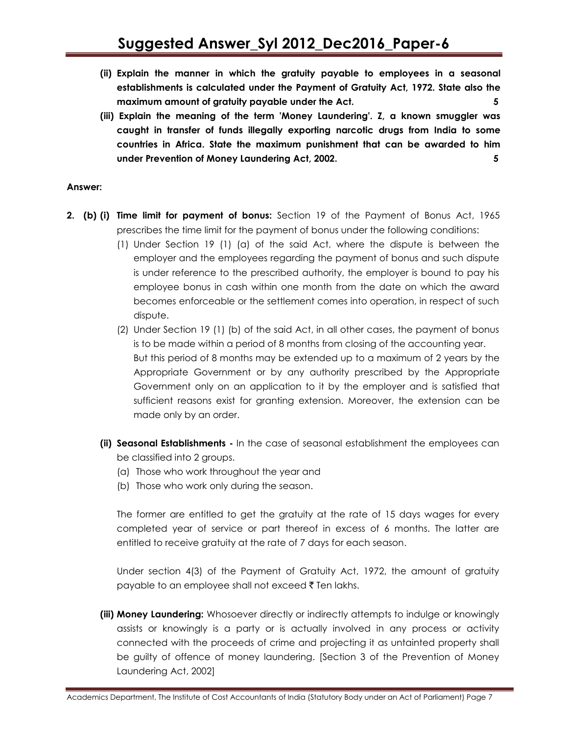- **(ii) Explain the manner in which the gratuity payable to employees in a seasonal establishments is calculated under the Payment of Gratuity Act, 1972. State also the maximum amount of gratuity payable under the Act. 5**
- **(iii) Explain the meaning of the term 'Money Laundering'. Z, a known smuggler was caught in transfer of funds illegally exporting narcotic drugs from India to some countries in Africa. State the maximum punishment that can be awarded to him under Prevention of Money Laundering Act, 2002. 5**

#### **Answer:**

- **2. (b) (i) Time limit for payment of bonus:** Section 19 of the Payment of Bonus Act, 1965 prescribes the time limit for the payment of bonus under the following conditions:
	- (1) Under Section 19 (1) (a) of the said Act, where the dispute is between the employer and the employees regarding the payment of bonus and such dispute is under reference to the prescribed authority, the employer is bound to pay his employee bonus in cash within one month from the date on which the award becomes enforceable or the settlement comes into operation, in respect of such dispute.
	- (2) Under Section 19 (1) (b) of the said Act, in all other cases, the payment of bonus is to be made within a period of 8 months from closing of the accounting year. But this period of 8 months may be extended up to a maximum of 2 years by the Appropriate Government or by any authority prescribed by the Appropriate Government only on an application to it by the employer and is satisfied that sufficient reasons exist for granting extension. Moreover, the extension can be made only by an order.
	- **(ii) Seasonal Establishments -** In the case of seasonal establishment the employees can be classified into 2 groups.
		- (a) Those who work throughout the year and
		- (b) Those who work only during the season.

The former are entitled to get the gratuity at the rate of 15 days wages for every completed year of service or part thereof in excess of 6 months. The latter are entitled to receive gratuity at the rate of 7 days for each season.

Under section 4(3) of the Payment of Gratuity Act, 1972, the amount of gratuity payable to an employee shall not exceed  $\bar{\tau}$  Ten lakhs.

**(iii) Money Laundering:** Whosoever directly or indirectly attempts to indulge or knowingly assists or knowingly is a party or is actually involved in any process or activity connected with the proceeds of crime and projecting it as untainted property shall be guilty of offence of money laundering. [Section 3 of the Prevention of Money Laundering Act, 2002]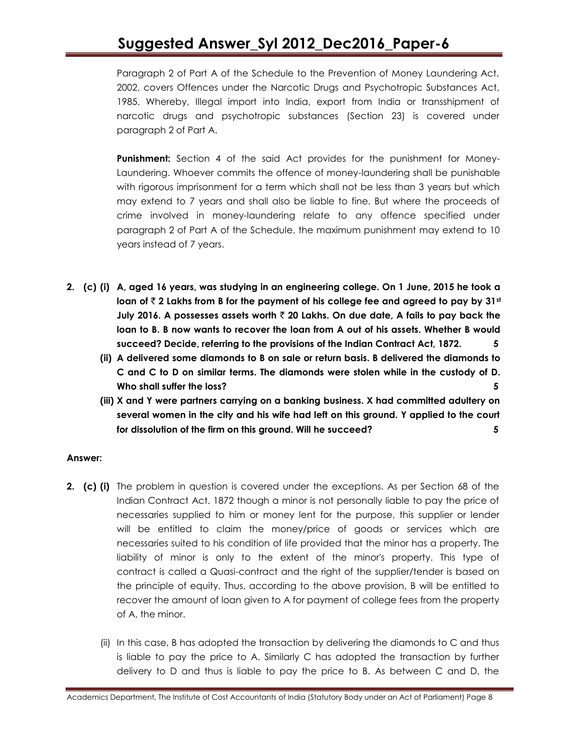Paragraph 2 of Part A of the Schedule to the Prevention of Money Laundering Act, 2002, covers Offences under the Narcotic Drugs and Psychotropic Substances Act, 1985. Whereby, Illegal import into India, export from India or transshipment of narcotic drugs and psychotropic substances (Section 23) is covered under paragraph 2 of Part A.

**Punishment:** Section 4 of the said Act provides for the punishment for Money-Laundering. Whoever commits the offence of money-laundering shall be punishable with rigorous imprisonment for a term which shall not be less than 3 years but which may extend to 7 years and shall also be liable to fine. But where the proceeds of crime involved in money-laundering relate to any offence specified under paragraph 2 of Part A of the Schedule, the maximum punishment may extend to 10 years instead of 7 years.

- **2. (c) (i) A, aged 16 years, was studying in an engineering college. On 1 June, 2015 he took a**  loan of  $\bar{\tau}$  2 Lakhs from B for the payment of his college fee and agreed to pay by 31<sup>st</sup> **July 2016. A possesses assets worth** ` **20 Lakhs. On due date, A fails to pay back the loan to B. B now wants to recover the loan from A out of his assets. Whether B would succeed? Decide, referring to the provisions of the Indian Contract Act, 1872. 5**
	- **(ii) A delivered some diamonds to B on sale or return basis. B delivered the diamonds to C and C to D on similar terms. The diamonds were stolen while in the custody of D. Who shall suffer the loss? 5**
	- **(iii) X and Y were partners carrying on a banking business. X had committed adultery on several women in the city and his wife had left on this ground. Y applied to the court for dissolution of the firm on this ground. Will he succeed? 5**

#### **Answer:**

- **2. (c) (i)** The problem in question is covered under the exceptions. As per Section 68 of the Indian Contract Act. 1872 though a minor is not personally liable to pay the price of necessaries supplied to him or money lent for the purpose, this supplier or lender will be entitled to claim the money/price of goods or services which are necessaries suited to his condition of life provided that the minor has a property. The liability of minor i*s* only to the extent of the minor's property. This type of contract is called a Quasi-contract and the right of the supplier/tender is based on the principle of equity. Thus, according to the above provision, B will be entitled to recover the amount of loan given to A for payment of college fees from the property of A, the minor.
	- (ii) In this case, B has adopted the transaction by delivering the diamonds to C and thus is liable to pay the price to A. Similarly C has adopted the transaction by further delivery to D and thus is liable to pay the price to B. As between C and D, the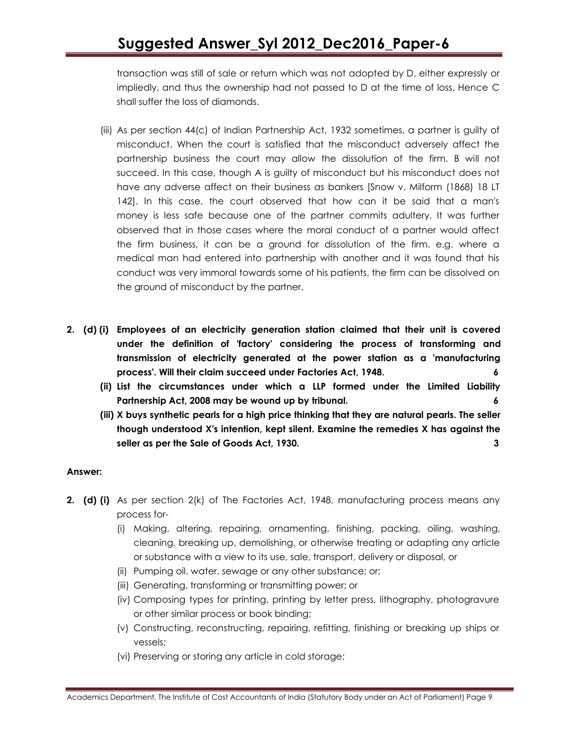transaction was still of sale or return which was not adopted by D, either expressly or impliedly, and thus the ownership had not passed to D at the time of loss. Hence C shall suffer the loss of diamonds.

- (iii) As per section 44(c) of Indian Partnership Act, 1932 sometimes, a partner is guilty of misconduct. When the court is satisfied that the misconduct adversely affect the partnership business the court may allow the dissolution of the firm. B will not succeed. In this case, though A is guilty of misconduct but his misconduct does not have any adverse affect on their business *as* bankers [Snow v. Milform (1868) 18 LT 142]. In this case, the court observed that how can it be said that a man's money is less safe because one of the partner commits adultery. It was further observed that in those cases where the moral conduct of a partner would affect the firm business, it can be a ground for dissolution of the firm. e.g. where a medical man had entered into partnership with another and it was found that his conduct was very immoral towards some of his patients, the firm can be dissolved on the ground of misconduct by the partner.
- **2. (d) (i) Employees of an electricity generation station claimed that their unit is covered under the definition of 'factory' considering the process of transforming and transmission of electricity generated at the power station as a 'manufacturing process'. Will their claim succeed under Factories Act, 1948. 6**
	- **(ii) List the circumstances under which a LLP formed under the Limited Liability Partnership Act, 2008 may be wound up by tribunal. 6**
	- **(iii) X buys synthetic pearls for a high price thinking that they are natural pearls. The seller though understood X's intention, kept silent. Examine the remedies X has against the seller as per the Sale of Goods Act, 1930. 3**

#### **Answer:**

- **2. (d) (i)** As per section 2(k) of The Factories Act, 1948, manufacturing process means any process for-
	- (i) Making, altering, repairing, ornamenting, finishing, packing, oiling, washing, cleaning, breaking up, demolishing, or otherwise treating or adapting any article or substance with a view to its use, sale, transport, delivery or disposal, or
	- (ii) Pumping oil, water, sewage or any other substance; or;
	- (iii) Generating, transforming or transmitting power; or
	- (iv) Composing types for printing, printing by letter press, lithography, photogravure or other similar process or book binding;
	- (v) Constructing, reconstructing, repairing, refitting, finishing or breaking up ships or vessels;
	- (vi) Preserving or storing any article in cold storage;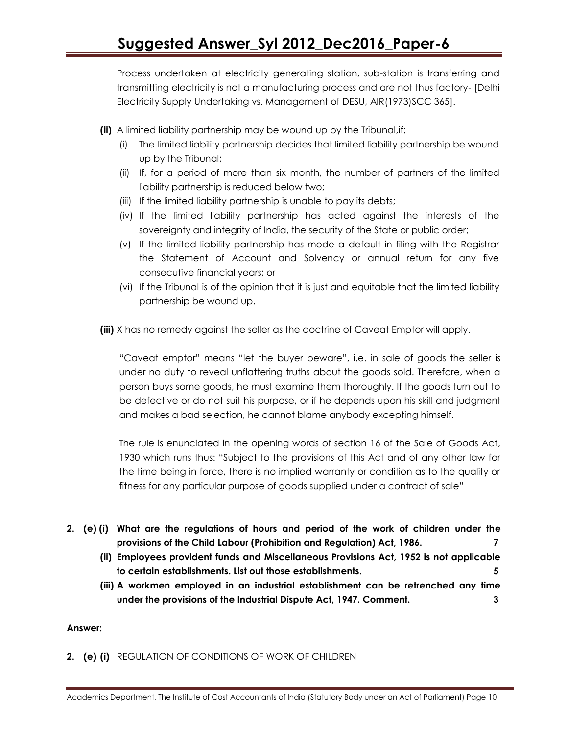Process undertaken at electricity generating station, sub-station is transferring and transmitting electricity is not a manufacturing process and are not thus factory- [Delhi Electricity Supply Undertaking vs. Management of DESU, AIR(1973)SCC 365].

- **(ii)** A limited liability partnership may be wound up by the Tribunal,if:
	- (i) The limited liability partnership decides that limited liability partnership be wound up by the Tribunal;
	- (ii) If, for a period of more than six month, the number of partners of the limited liability partnership is reduced below two;
	- (iii) If the limited liability partnership is unable to pay its debts;
	- (iv) If the limited liability partnership has acted against the interests of the sovereignty and integrity of India, the security of the State or public order;
	- (v) If the limited liability partnership has mode a default in filing with the Registrar the Statement of Account and Solvency or annual return for any five consecutive financial years; or
	- (vi) If the Tribunal is of the opinion that it is just and equitable that the limited liability partnership be wound up.
- **(iii)** X has no remedy against the seller as the doctrine of Caveat Emptor will apply.

"Caveat emptor" means "let the buyer beware", i.e. in sale of goods the seller is under no duty to reveal unflattering truths about the goods sold. Therefore, when a person buys some goods, he must examine them thoroughly. If the goods turn out to be defective or do not suit his purpose, or if he depends upon his skill and judgment and makes a bad selection, he cannot blame anybody excepting himself.

The rule is enunciated in the opening words of section 16 of the Sale of Goods Act, 1930 which runs thus: "Subject to the provisions of this Act and of any other law for the time being in force, there is no implied warranty or condition as to the quality or fitness for any particular purpose of goods supplied under a contract of sale"

- **2. (e) (i) What are the regulations of hours and period of the work of children under the provisions of the Child Labour (Prohibition and Regulation) Act, 1986. 7**
	- **(ii) Employees provident funds and Miscellaneous Provisions Act, 1952 is not applicable to certain establishments. List out those establishments. 5**
	- **(iii) A workmen employed in an industrial establishment can be retrenched any time under the provisions of the Industrial Dispute Act, 1947. Comment. 3**

#### **Answer:**

**2. (e) (i)** REGULATION OF CONDITIONS OF WORK OF CHILDREN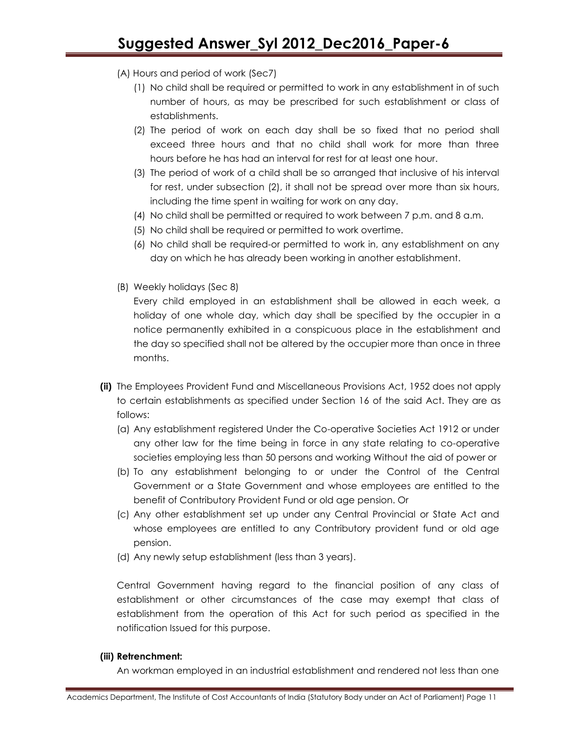- (A) Hours and period of work (Sec7)
	- (1) No child shall be required or permitted to work in any establishment in of such number of hours, as may be prescribed for such establishment or class of establishments.
	- (2) The period of work on each day shall be so fixed that no period shall exceed three hours and that no child shall work for more than three hours before he has had an interval for rest for at least one hour.
	- (3) The period of work of a child shall be so arranged that inclusive of his interval for rest, under subsection (2), it shall not be spread over more than six hours, including the time spent in waiting for work on any day.
	- (4) No child shall be permitted or required to work between 7 p.m. and 8 a.m.
	- (5) No child shall be required or permitted to work overtime.
	- (6) No child shall be required-or permitted to work in, any establishment on any day on which he has already been working in another establishment.
- (B) Weekly holidays (Sec 8)

Every child employed in an establishment shall be allowed in each week, a holiday of one whole day, which day shall be specified by the occupier in a notice permanently exhibited in a conspicuous place in the establishment and the day so specified shall not be altered by the occupier more than once in three months.

- **(ii)** The Employees Provident Fund and Miscellaneous Provisions Act, 1952 does not apply to certain establishments as specified under Section 16 of the said Act. They are as follows:
	- (a) Any establishment registered Under the Co-operative Societies Act 1912 or under any other law for the time being in force in any state relating to co-operative societies employing less than 50 persons and working Without the aid of power or
	- (b) To any establishment belonging to or under the Control of the Central Government or a State Government and whose employees are entitled to the benefit of Contributory Provident Fund or old age pension. Or
	- (c) Any other establishment set up under any Central Provincial or State Act and whose employees are entitled to any Contributory provident fund or old age pension.
	- (d) Any newly setup establishment (less than 3 years).

Central Government having regard to the financial position of any class of establishment or other circumstances of the case may exempt that class of establishment from the operation of this Act for such period as specified in the notification Issued for this purpose.

#### **(iii) Retrenchment:**

An workman employed in an industrial establishment and rendered not less than one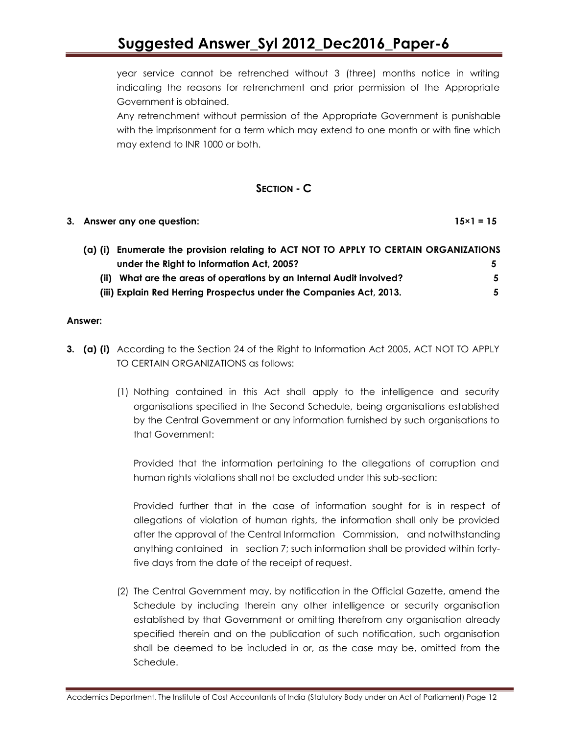year service cannot be retrenched without 3 (three) months notice in writing indicating the reasons for retrenchment and prior permission of the Appropriate Government is obtained.

Any retrenchment without permission of the Appropriate Government is punishable with the imprisonment for a term which may extend to one month or with fine which may extend to INR 1000 or both.

### **SECTION - C**

#### **3. Answer any one question: 15×1 = 15**

| (a) (i) Enumerate the provision relating to ACT NOT TO APPLY TO CERTAIN ORGANIZATIONS |    |
|---------------------------------------------------------------------------------------|----|
| under the Right to Information Act, 2005?                                             |    |
| What are the areas of operations by an Internal Audit involved?                       | 5. |
| (iii) Explain Red Herring Prospectus under the Companies Act, 2013.                   |    |

#### **Answer:**

- **3. (a) (i)** According to the Section 24 of the Right to Information Act 2005, ACT NOT TO APPLY TO CERTAIN ORGANIZATIONS as follows:
	- (1) Nothing contained in this Act shall apply to the intelligence and security organisations specified in the Second Schedule, being organisations established by the Central Government or any information furnished by such organisations to that Government:

Provided that the information pertaining to the allegations of corruption and human rights violations shall not be excluded under this sub-section:

Provided further that in the case of information sought for is in respect of allegations of violation of human rights, the information shall only be provided after the approval of the Central Information Commission, and notwithstanding anything contained in section 7; such information shall be provided within fortyfive days from the date of the receipt of request.

(2) The Central Government may, by notification in the Official Gazette, amend the Schedule by including therein any other intelligence or security organisation established by that Government or omitting therefrom any organisation already specified therein and on the publication of such notification, such organisation shall be deemed to be included in or, as the case may be, omitted from the Schedule.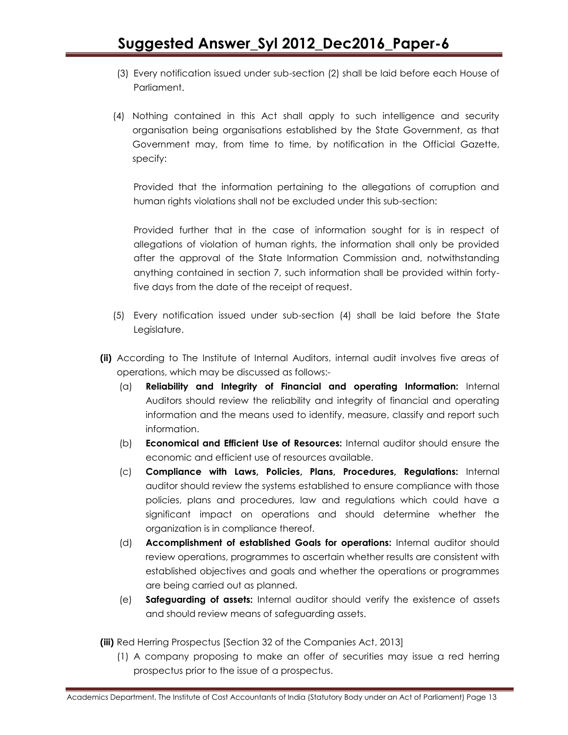- (3) Every notification issued under sub-section (2) shall be laid before each House of Parliament.
- (4) Nothing contained in this Act shall apply to such intelligence and security organisation being organisations established by the State Government, as that Government may, from time to time, by notification in the Official Gazette, specify:

Provided that the information pertaining to the allegations of corruption and human rights violations shall not be excluded under this sub-section:

Provided further that in the case of information sought for is in respect of allegations of violation of human rights, the information shall only be provided after the approval of the State Information Commission and, notwithstanding anything contained in section 7, such information shall be provided within fortyfive days from the date of the receipt of request.

- (5) Every notification issued under sub-section (4) shall be laid before the State Legislature.
- **(ii)** According to The Institute of Internal Auditors, internal audit involves five areas of operations, which may be discussed as follows:-
	- (a) **Reliability and Integrity of Financial and operating Information:** Internal Auditors should review the reliability and integrity of financial and operating information and the means used to identify, measure, classify and report such information.
	- (b) **Economical and Efficient Use of Resources:** Internal auditor should ensure the economic and efficient use of resources available.
	- (c) **Compliance with Laws, Policies, Plans, Procedures, Regulations:** Internal auditor should review the systems established to ensure compliance with those policies, plans and procedures, law and regulations which could have a significant impact on operations and should determine whether the organization is in compliance thereof.
	- (d) **Accomplishment of established Goals for operations:** Internal auditor should review operations, programmes to ascertain whether results are consistent with established objectives and goals and whether the operations or programmes are being carried out as planned.
	- (e) **Safeguarding of assets:** Internal auditor should verify the existence of assets and should review means of safeguarding assets.
- **(iii)** Red Herring Prospectus [Section 32 of the Companies Act, 2013]
	- (1) A company proposing to make an offer *of* securities may issue a red herring prospectus prior to the issue of a prospectus.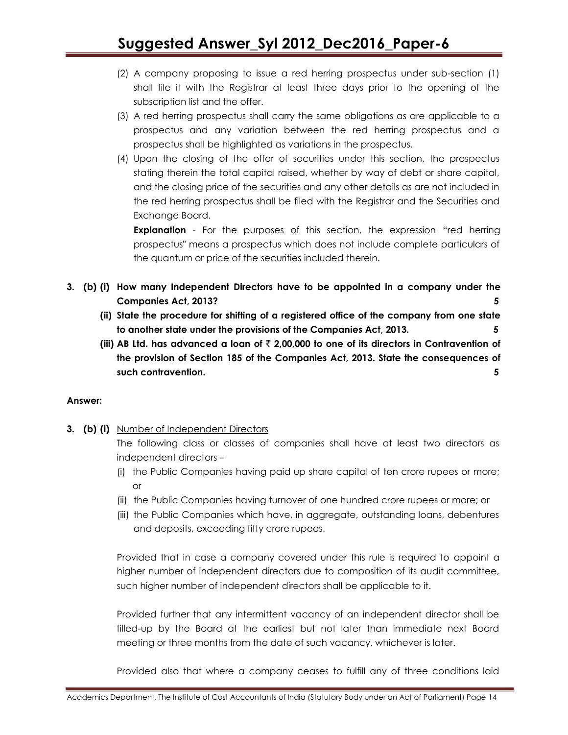- (2) A company proposing to issue a red herring prospectus under sub-section (1) shall file it with the Registrar at least three days prior to the opening of the subscription list and the offer.
- (3) A red herring prospectus shall carry the same obligations as are applicable to a prospectus and any variation between the red herring prospectus and a prospectus shall be highlighted as variations in the prospectus.
- (4) Upon the closing of the offer of securities under this section, the prospectus stating therein the total capital raised, whether by way of debt or share capital, and the closing price of the securities and any other details as are not included in the red herring prospectus shall be filed with the Registrar and the Securities and Exchange Board.

**Explanation** - For the purposes of this section, the expression "red herring prospectus" means a prospectus which does not include complete particulars of the quantum or price of the securities included therein.

- **3. (b) (i) How many Independent Directors have to be appointed in a company under the Companies Act, 2013? 5**
	- **(ii) State the procedure for shifting of a registered office of the company from one state to another state under the provisions of the Companies Act, 2013. 5**
	- **(iii) AB Ltd. has advanced a loan of** ` **2,00,000 to one of its directors in Contravention of the provision of Section 185 of the Companies Act, 2013. State the consequences of such contravention. 5**

#### **Answer:**

**3. (b) (i)** Number of Independent Directors

The following class or classes of companies shall have at least two directors as independent directors –

- (i) the Public Companies having paid up share capital of ten crore rupees or more; or
- (ii) the Public Companies having turnover of one hundred crore rupees or more; or
- (iii) the Public Companies which have, in aggregate, outstanding loans, debentures and deposits, exceeding fifty crore rupees.

Provided that in case a company covered under this rule is required to appoint a higher number of independent directors due to composition of its audit committee, such higher number of independent directors shall be applicable to it.

Provided further that any intermittent vacancy of an independent director shall be filled-up by the Board at the earliest but not later than immediate next Board meeting or three months from the date of such vacancy, whichever is later.

Provided also that where a company ceases to fulfill any of three conditions laid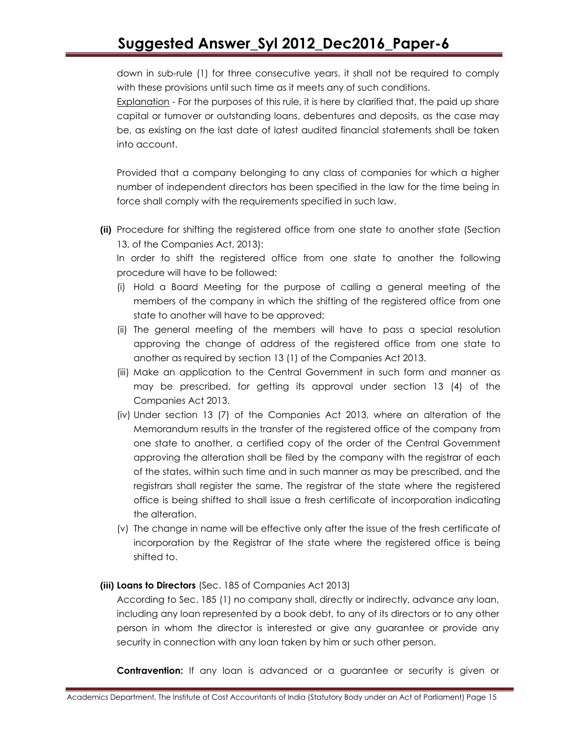down in sub-rule (1) for three consecutive years, it shall not be required to comply with these provisions until such time as it meets any of such conditions.

Explanation - For the purposes of this rule, it is here by clarified that, the paid up share capital or turnover or outstanding loans, debentures and deposits, as the case may be, as existing on the last date of latest audited financial statements shall be taken into account.

Provided that a company belonging to any class of companies for which a higher number of independent directors has been specified in the law for the time being in force shall comply with the requirements specified in such law.

**(ii)** Procedure for shifting the registered office from one state to another state (Section 13, of the Companies Act, 2013):

In order to shift the registered office from one state to another the following procedure will have to be followed:

- (i) Hold a Board Meeting for the purpose of calling a general meeting of the members of the company in which the shifting of the registered office from one state to another will have to be approved;
- (ii) The general meeting of the members will have to pass a special resolution approving the change of address of the registered office from one state to another as required by section 13 (1) of the Companies Act 2013.
- (iii) Make an application to the Central Government in such form and manner as may be prescribed, for getting its approval under section 13 (4) of the Companies Act 2013.
- (iv) Under section 13 (7) of the Companies Act 2013, where an alteration of the Memorandum results in the transfer of the registered office of the company from one state to another, a certified copy of the order of the Central Government approving the alteration shall be filed by the company with the registrar of each of the states, within such time and in such manner as may be prescribed, and the registrars shall register the same. The registrar of the state where the registered office is being shifted to shall issue a fresh certificate of incorporation indicating the alteration.
- (v) The change in name will be effective only after the issue of the fresh certificate of incorporation by the Registrar of the state where the registered office is being shifted to.

#### **(iii) Loans to Directors** (Sec. 185 of Companies Act 2013)

According to Sec. 185 (1) no company shall, directly or indirectly, advance any loan, including any loan represented by a book debt, to any of its directors or to any other person in whom the director is interested or give any guarantee or provide any security in connection with any loan taken by him or such other person.

**Contravention:** If any loan is advanced or a guarantee or security is given or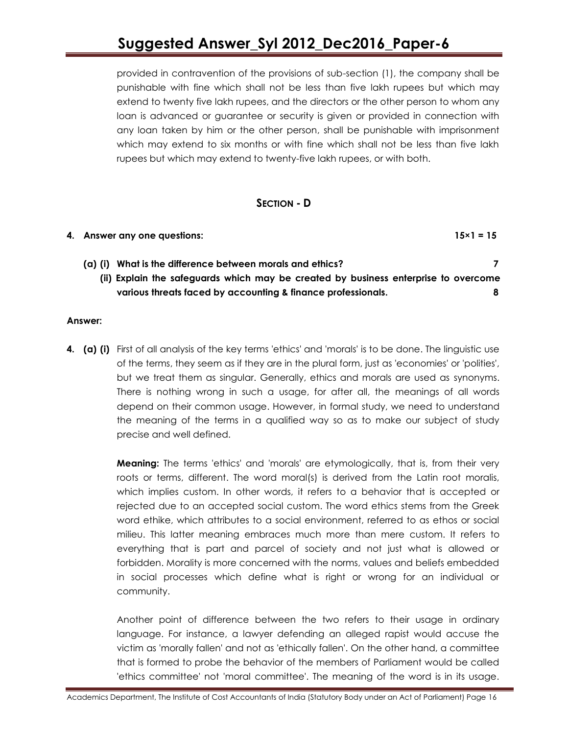provided in contravention of the provisions of sub-section (1), the company shall be punishable with fine which shall not be less than five lakh rupees but which may extend to twenty five lakh rupees, and the directors or the other person to whom any loan is advanced or guarantee or security is given or provided in connection with any loan taken by him or the other person, shall be punishable with imprisonment which may extend to six months or with fine which shall not be less than five lakh rupees but which may extend to twenty-five lakh rupees, or with both.

#### **SECTION - D**

| 4. Answer any one questions:                                                        | $15 \times 1 = 15$ |
|-------------------------------------------------------------------------------------|--------------------|
| What is the difference between morals and ethics?<br>(a) (i)                        |                    |
| (ii) Explain the safeguards which may be created by business enterprise to overcome |                    |
| various threats faced by accounting & finance professionals.                        |                    |

#### **Answer:**

**4. (a) (i)** First of all analysis of the key terms 'ethics' and 'morals' is to be done. The linguistic use of the terms, they seem as if they are in the plural form, just as 'economies' or 'polities', but we treat them as singular. Generally, ethics and morals are used as synonyms. There is nothing wrong in such a usage, for after all, the meanings of all words depend on their common usage. However, in formal study, we need to understand the meaning of the terms in a qualified way so as to make our subject of study precise and well defined.

> **Meaning:** The terms 'ethics' and 'morals' are etymologically, that is, from their very roots or terms, different. The word moral(s) is derived from the Latin root moralis, which implies custom. In other words, it refers to a behavior that is accepted or rejected due to an accepted social custom. The word ethics stems from the Greek word ethike, which attributes to a social environment, referred to as ethos or social milieu. This latter meaning embraces much more than mere custom. It refers to everything that is part and parcel of society and not just what is allowed or forbidden. Morality is more concerned with the norms, values and beliefs embedded in social processes which define what is right or wrong for an individual or community.

> Another point of difference between the two refers to their usage in ordinary language. For instance, a lawyer defending an alleged rapist would accuse the victim as 'morally fallen' and not as 'ethically fallen'. On the other hand, a committee that is formed to probe the behavior of the members of Parliament would be called 'ethics committee' not 'moral committee'. The meaning of the word is in its usage.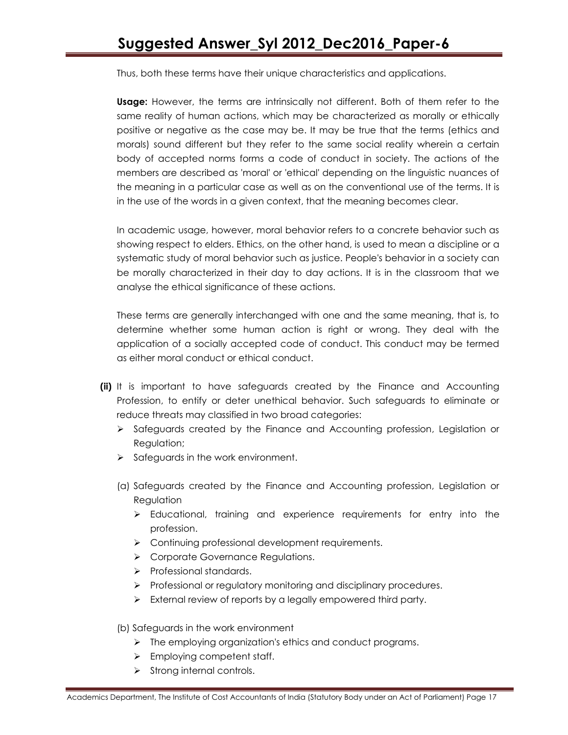Thus, both these terms have their unique characteristics and applications.

**Usage:** However, the terms are intrinsically not different. Both of them refer to the same reality of human actions, which may be characterized as morally or ethically positive or negative as the case may be. It may be true that the terms (ethics and morals) sound different but they refer to the same social reality wherein a certain body of accepted norms forms a code of conduct in society. The actions of the members are described as 'moral' or 'ethical' depending on the linguistic nuances of the meaning in a particular case as well as on the conventional use of the terms. It is in the use of the words in a given context, that the meaning becomes clear.

In academic usage, however, moral behavior refers to a concrete behavior such as showing respect to elders. Ethics, on the other hand, is used to mean a discipline or a systematic study of moral behavior such as justice. People's behavior in a society can be morally characterized in their day to day actions. It is in the classroom that we analyse the ethical significance of these actions.

These terms are generally interchanged with one and the same meaning, that is, to determine whether some human action is right or wrong. They deal with the application of a socially accepted code of conduct. This conduct may be termed as either moral conduct or ethical conduct.

- **(ii)** It is important to have safeguards created by the Finance and Accounting Profession, to entify or deter unethical behavior. Such safeguards to eliminate or reduce threats may classified in two broad categories:
	- $\triangleright$  Safeguards created by the Finance and Accounting profession, Legislation or Regulation;
	- $\triangleright$  Safeguards in the work environment.
	- (a) Safeguards created by the Finance and Accounting profession, Legislation or **Regulation** 
		- $\triangleright$  Educational, training and experience requirements for entry into the profession.
		- > Continuing professional development requirements.
		- Corporate Governance Regulations.
		- $\triangleright$  Professional standards.
		- $\triangleright$  Professional or regulatory monitoring and disciplinary procedures.
		- $\triangleright$  External review of reports by a legally empowered third party.
	- (b) Safeguards in the work environment
		- $\triangleright$  The employing organization's ethics and conduct programs.
		- $\triangleright$  Employing competent staff.
		- $\triangleright$  Strong internal controls.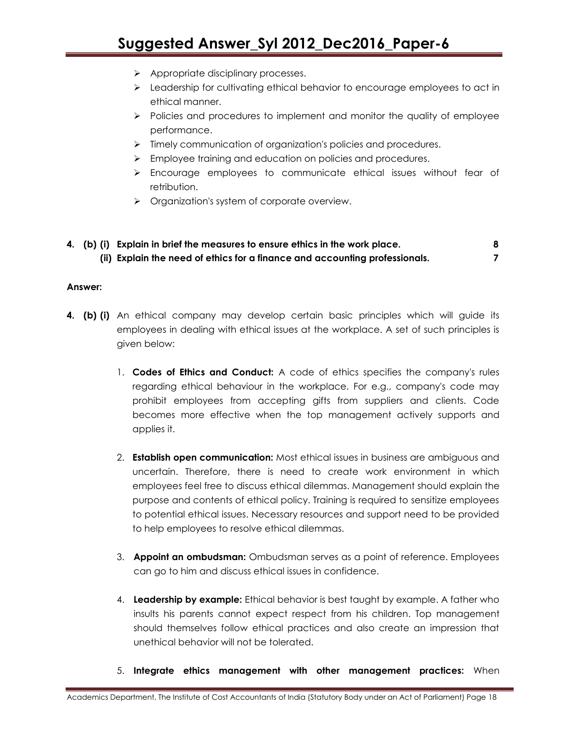- Appropriate disciplinary processes.
- $\triangleright$  Leadership for cultivating ethical behavior to encourage employees to act in ethical manner.
- $\triangleright$  Policies and procedures to implement and monitor the quality of employee performance.
- $\triangleright$  Timely communication of organization's policies and procedures.
- **Employee training and education on policies and procedures.**
- $\triangleright$  Encourage employees to communicate ethical issues without fear of retribution.
- **Diamization's system of corporate overview.**
- **4. (b) (i) Explain in brief the measures to ensure ethics in the work place. 8 (ii) Explain the need of ethics for a finance and accounting professionals. 7**

#### **Answer:**

- **4. (b) (i)** An ethical company may develop certain basic principles which will guide its employees in dealing with ethical issues at the workplace. A set of such principles is given below:
	- 1. **Codes of Ethics and Conduct:** A code of ethics specifies the company's rules regarding ethical behaviour in the workplace. For e.g., company's code may prohibit employees from accepting gifts from suppliers and clients. Code becomes more effective when the top management actively supports and applies it.
	- 2. **Establish open communication:** Most ethical issues in business are ambiguous and uncertain. Therefore, there is need to create work environment in which employees feel free to discuss ethical dilemmas. Management should explain the purpose and contents of ethical policy. Training is required to sensitize employees to potential ethical issues. Necessary resources and support need to be provided to help employees to resolve ethical dilemmas.
	- 3. **Appoint an ombudsman:** Ombudsman serves as a point of reference. Employees can go to him and discuss ethical issues in confidence.
	- 4. **Leadership by example:** Ethical behavior is best taught by example. A father who insults his parents cannot expect respect from his children. Top management should themselves follow ethical practices and also create an impression that unethical behavior will not be tolerated.
	- 5. **Integrate ethics management with other management practices:** When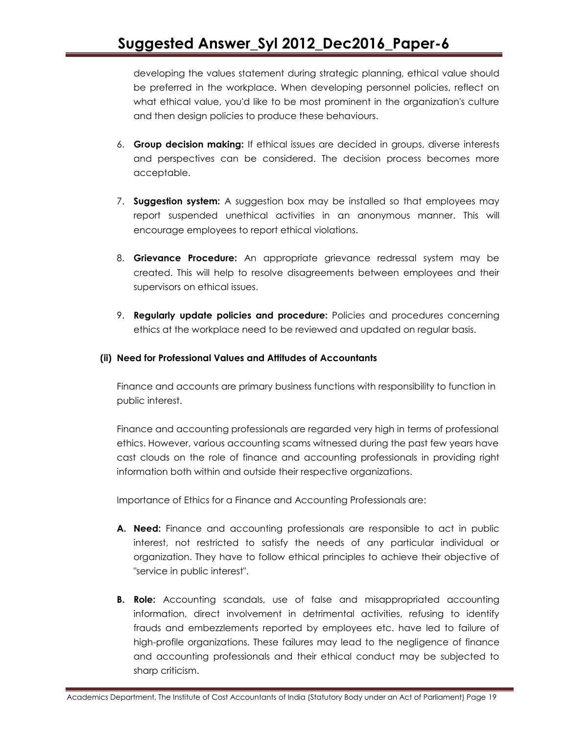developing the values statement during strategic planning, ethical value should be preferred in the workplace. When developing personnel policies, reflect on what ethical value, you'd like to be most prominent in the organization's culture and then design policies to produce these behaviours.

- 6. **Group decision making:** If ethical issues are decided in groups, diverse interests and perspectives can be considered. The decision process becomes more acceptable.
- 7. **Suggestion system:** A suggestion box may be installed so that employees may report suspended unethical activities in an anonymous manner. This will encourage employees to report ethical violations.
- 8. **Grievance Procedure:** An appropriate grievance redressal system may be created. This will help to resolve disagreements between employees and their supervisors on ethical issues.
- 9. **Regularly update policies and procedure:** Policies and procedures concerning ethics at the workplace need to be reviewed and updated on regular basis.

#### **(ii) Need for Professional Values and Attitudes of Accountants**

Finance and accounts are primary business functions with responsibility to function in public interest.

Finance and accounting professionals are regarded very high in terms of professional ethics. However, various accounting scams witnessed during the past few years have cast clouds on the role of finance and accounting professionals in providing right information both within and outside their respective organizations.

Importance of Ethics for a Finance and Accounting Professionals are:

- **A. Need:** Finance and accounting professionals are responsible to act in public interest, not restricted to satisfy the needs of any particular individual or organization. They have to follow ethical principles to achieve their objective of "service in public interest".
- **B. Role:** Accounting scandals, use of false and misappropriated accounting information, direct involvement in detrimental activities, refusing to identify frauds and embezzlements reported by employees etc. have led to failure of high-profile organizations. These failures may lead to the negligence of finance and accounting professionals and their ethical conduct may be subjected to sharp criticism.